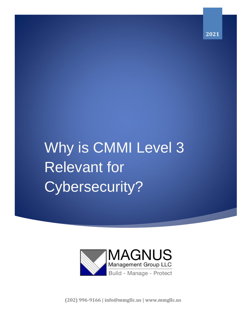**2021**

# Why is CMMI Level 3 Relevant for Cybersecurity?



**(202) 996-9166 | info@mmgllc.us | www.mmgllc.us**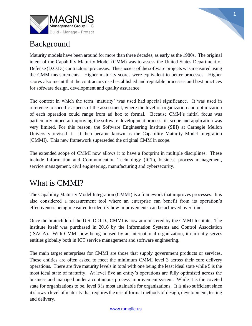



## Background

Maturity models have been around for more than three decades, as early as the 1980s. The original intent of the Capability Maturity Model (CMM) was to assess the United States Department of Defense (D.O.D.) contractors' processes. The success of the software projects was measured using the CMM measurements. Higher maturity scores were equivalent to better processes. Higher scores also meant that the contractors used established and reputable processes and best practices for software design, development and quality assurance.

The context in which the term 'maturity' was used had special significance. It was used in reference to specific aspects of the assessment, where the level of organization and optimization of each operation could range from ad hoc to formal. Because CMM's initial focus was particularly aimed at improving the software development process, its scope and application was very limited. For this reason, the Software Engineering Institute (SEI) at Carnegie Mellon University revised it. It then became known as the Capability Maturity Model Integration (CMMI). This new framework superseded the original CMM in scope.

The extended scope of CMMI now allows it to have a footprint in multiple disciplines. These include Information and Communication Technology (ICT), business process management, service management, civil engineering, manufacturing and cybersecurity.

# What is CMMI?

The Capability Maturity Model Integration (CMMI) is a framework that improves processes. It is also considered a measurement tool where an enterprise can benefit from its operation's effectiveness being measured to identify how improvements can be achieved over time.

Once the brainchild of the U.S. D.O.D., CMMI is now administered by the CMMI Institute. The institute itself was purchased in 2016 by the Information Systems and Control Association (ISACA). With CMMI now being housed by an international organization, it currently serves entities globally both in ICT service management and software engineering.

The main target enterprises for CMMI are those that supply government products or services. These entities are often asked to meet the minimum CMMI level 3 across their core delivery operations. There are five maturity levels in total with one being the least ideal state while 5 is the most ideal state of maturity. At level five an entity's operations are fully optimized across the business and managed under a continuous process improvement system. While it is the coveted state for organizations to be, level 3 is most attainable for organizations. It is also sufficient since it shows a level of maturity that requires the use of formal methods of design, development, testing and delivery.

#### [www.mmgllc.us](http://www.mmgllc.us/)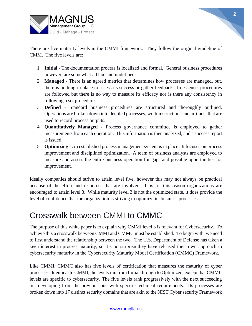

There are five maturity levels in the CMMI framework. They follow the original guideline of CMM. The five levels are:

- 1. **Initial**  The documentation process is localized and formal. General business procedures however, are somewhat ad hoc and undefined.
- 2. **Managed**  There is an agreed metrics that determines how processes are managed, but, there is nothing in place to assess its success or gather feedback. In essence, procedures are followed but there is no way to measure its efficacy nor is there any consistency in following a set procedure.
- 3. **Defined**  Standard business procedures are structured and thoroughly outlined. Operations are broken down into detailed processes, work instructions and artifacts that are used to record process outputs.
- 4. **Quantitatively Managed** Process governance committee is employed to gather measurements from each operation. This information is then analyzed, and a success report is issued.
- 5. **Optimizing** An established process management system is in place. It focuses on process improvement and disciplined optimization. A team of business analysts are employed to measure and assess the entire business operation for gaps and possible opportunities for improvement.

Ideally companies should strive to attain level five, however this may not always be practical because of the effort and resources that are involved. It is for this reason organizations are encouraged to attain level 3. While maturity level 3 is not the optimized state, it does provide the level of confidence that the organization is striving to optimize its business processes.

# Crosswalk between CMMI to CMMC

The purpose of this white paper is to explain why CMMI level 3 is relevant for Cybersecurity. To achieve this a crosswalk between CMMI and CMMC must be established. To begin with, we need to first understand the relationship between the two. The U.S. Department of Defense has taken a keen interest in process maturity, so it's no surprise they have released their own approach to cybersecurity maturity in the Cybersecurity Maturity Model Certification (CMMC) Framework.

Like CMMI, CMMC also has five levels of certification that measures the maturity of cyber processes. Identical to CMMI, the levels run from Initial through to Optimized, except that CMMC levels are specific to cybersecurity. The five levels rank progressively with the next succeeding tier developing from the previous one with specific technical requirements. Its processes are broken down into 17 distinct security domains that are akin to the NIST Cyber security Framework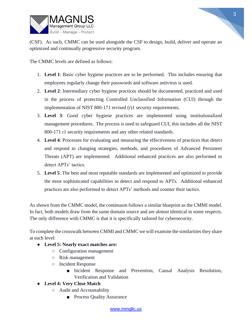

(CSF). As such, CMMC can be used alongside the CSF to design, build, deliver and operate an optimized and continually progressive security program.

The CMMC levels are defined as follows:

- 1. **Level 1**: Basic cyber hygiene practices are to be performed. This includes ensuring that employees regularly change their passwords and software antivirus is used.
- 2. **Level 2**: Intermediary cyber hygiene practices should be documented, practiced and used in the process of protecting Controlled Unclassified Information (CUI) through the implementation of NIST 800-171 revised (r)1 security requirements.
- 3. **Level 3**: Good cyber hygiene practices are implemented using institutionalized management procedures. The process is used to safeguard CUI, this includes all the NIST 800-171 r1 security requirements and any other related standards.
- 4. **Level 4**: Processes for evaluating and measuring the effectiveness of practices that detect and respond to changing strategies, methods, and procedures of Advanced Persistent Threats (APT) are implemented. Additional enhanced practices are also performed to detect APTs' tactics.
- 5. **Level 5**: The best and most reputable standards are implemented and optimized to provide the most sophisticated capabilities to detect and respond to APTs. Additional enhanced practices are also performed to detect APTs' methods and counter their tactics.

As shown from the CMMC model, the continuum follows a similar blueprint as the CMMI model. In fact, both models draw from the same domain source and are almost identical in some respects. The only difference with CMMC is that it is specifically tailored for cybersecurity.

To complete the crosswalk between CMMI and CMMC we will examine the similarities they share at each level:

- **Level 5: Nearly exact matches are:**
	- Configuration management
	- Risk management
	- Incident Response
		- Incident Response and Prevention, Causal Analysis Resolution, Verification and Validation

#### ● **Level 4: Very Close Match**

- Audit and Accountability
	- Process Quality Assurance

#### [www.mmgllc.us](http://www.mmgllc.us/)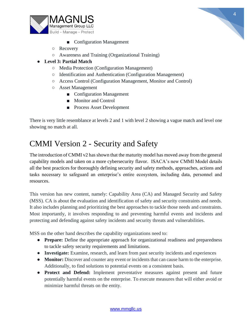



- Configuration Management
- Recovery
- Awareness and Training (Organizational Training)

#### ● **Level 3: Partial Match**

- Media Protection (Configuration Management)
- Identification and Authentication (Configuration Management)
- Access Control (Configuration Management, Monitor and Control)
- Asset Management
	- Configuration Management
	- Monitor and Control
	- Process Asset Development

There is very little resemblance at levels 2 and 1 with level 2 showing a vague match and level one showing no match at all.

## CMMI Version 2 - Security and Safety

The introduction of CMMI v2 has shown that the maturity model has moved away from the general capability models and taken on a more cybersecurity flavor. ISACA's new CMMI Model details all the best practices for thoroughly defining security and safety methods, approaches, actions and tasks necessary to safeguard an enterprise's entire ecosystem, including data, personnel and resources.

This version has new content, namely: Capability Area (CA) and Managed Security and Safety (MSS). CA is about the evaluation and identification of safety and security constraints and needs. It also includes planning and prioritizing the best approaches to tackle those needs and constraints. Most importantly, it involves responding to and preventing harmful events and incidents and protecting and defending against safety incidents and security threats and vulnerabilities.

MSS on the other hand describes the capability organizations need to:

- **Prepare:** Define the appropriate approach for organizational readiness and preparedness to tackle safety security requirements and limitations.
- **Investigate:** Examine, research, and learn from past security incidents and experiences
- **Monitor:** Discover and counter any event or incidents that can cause harm to the enterprise. Additionally, to find solutions to potential events on a consistent basis.
- **Protect and Defend:** Implement preventative measures against present and future potentially harmful events on the enterprise. To execute measures that will either avoid or minimize harmful threats on the entity.

#### [www.mmgllc.us](http://www.mmgllc.us/)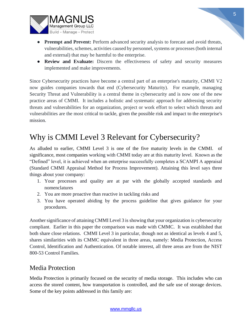

- **Preempt and Prevent:** Perform advanced security analysis to forecast and avoid threats, vulnerabilities, schemes, activities caused by personnel, systems or processes (both internal and external) that may be harmful to the enterprise.
- **Review and Evaluate:** Discern the effectiveness of safety and security measures implemented and make improvements.

Since Cybersecurity practices have become a central part of an enterprise's maturity, CMMI V2 now guides companies towards that end (Cybersecurity Maturity). For example, managing Security Threat and Vulnerability is a central theme in cybersecurity and is now one of the new practice areas of CMMI. It includes a holistic and systematic approach for addressing security threats and vulnerabilities for an organization, project or work effort to select which threats and vulnerabilities are the most critical to tackle, given the possible risk and impact to the enterprise's mission.

# Why is CMMI Level 3 Relevant for Cybersecurity?

As alluded to earlier, CMMI Level 3 is one of the five maturity levels in the CMMI. of significance, most companies working with CMMI today are at this maturity level. Known as the "Defined" level, it is achieved when an enterprise successfully completes a SCAMPI A appraisal (Standard CMMI Appraisal Method for Process Improvement). Attaining this level says three things about your company:

- 1. Your processes and quality are at par with the globally accepted standards and nomenclatures
- 2. You are more proactive than reactive in tackling risks and
- 3. You have operated abiding by the process guideline that gives guidance for your procedures.

Another significance of attaining CMMI Level 3 is showing that your organization is cybersecurity compliant. Earlier in this paper the comparison was made with CMMC. It was established that both share close relations. CMMI Level 3 in particular, though not as identical as levels 4 and 5, shares similarities with its CMMC equivalent in three areas, namely: Media Protection, Access Control, Identification and Authentication. Of notable interest, all three areas are from the NIST 800-53 Control Families.

### Media Protection

Media Protection is primarily focused on the security of media storage. This includes who can access the stored content, how transportation is controlled, and the safe use of storage devices. Some of the key points addressed in this family are: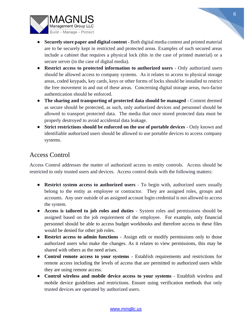

- **Securely store paper and digital content** Both digital media content and printed material are to be securely kept in restricted and protected areas. Examples of such secured areas include a cabinet that requires a physical lock (this in the case of printed material) or a secure server (in the case of digital media).
- **Restrict access to protected information to authorized users** Only authorized users should be allowed access to company systems. As it relates to access to physical storage areas, coded keypads, key cards, keys or other forms of locks should be installed to restrict the free movement in and out of these areas. Concerning digital storage areas, two-factor authentication should be enforced.
- **The sharing and transporting of protected data should be managed** Content deemed as secure should be protected, as such, only authorized devices and personnel should be allowed to transport protected data. The media that once stored protected data must be properly destroyed to avoid accidental data leakage.
- **Strict restrictions should be enforced on the use of portable devices** Only known and identifiable authorized users should be allowed to use portable devices to access company systems.

### Access Control

Access Control addresses the matter of authorized access to entity controls. Access should be restricted to only trusted users and devices. Access control deals with the following matters:

- **Restrict system access to authorized users** To begin with, authorized users usually belong to the entity as employee or contractor. They are assigned roles, groups and accounts. Any user outside of an assigned account login credential is not allowed to access the system.
- **Access is tailored to job roles and duties** System roles and permissions should be assigned based on the job requirement of the employee. For example, only financial personnel should be able to access budget workbooks and therefore access to these files would be denied for other job roles.
- **Restrict access to admin functions** Assign edit or modify permissions only to those authorized users who make the changes. As it relates to view permissions, this may be shared with others as the need arises.
- **Control remote access to your systems** Establish requirements and restrictions for remote access including the levels of access that are permitted to authorized users while they are using remote access.
- **Control wireless and mobile device access to your systems** Establish wireless and mobile device guidelines and restrictions. Ensure using verification methods that only trusted devices are operated by authorized users.